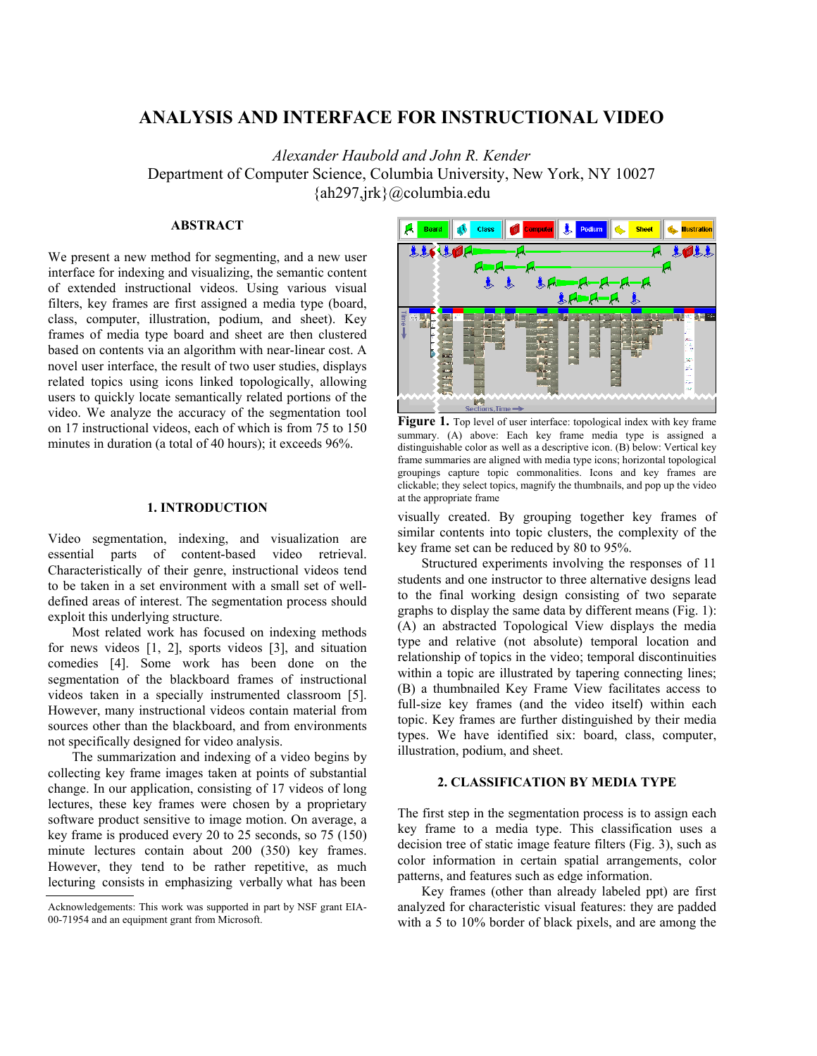# **ANALYSIS AND INTERFACE FOR INSTRUCTIONAL VIDEO**

*Alexander Haubold and John R. Kender*  Department of Computer Science, Columbia University, New York, NY 10027 {ah297,jrk}@columbia.edu

#### **ABSTRACT**

We present a new method for segmenting, and a new user interface for indexing and visualizing, the semantic content of extended instructional videos. Using various visual filters, key frames are first assigned a media type (board, class, computer, illustration, podium, and sheet). Key frames of media type board and sheet are then clustered based on contents via an algorithm with near-linear cost. A novel user interface, the result of two user studies, displays related topics using icons linked topologically, allowing users to quickly locate semantically related portions of the video. We analyze the accuracy of the segmentation tool on 17 instructional videos, each of which is from 75 to 150 minutes in duration (a total of 40 hours); it exceeds 96%.

#### **1. INTRODUCTION**

Video segmentation, indexing, and visualization are essential parts of content-based video retrieval. Characteristically of their genre, instructional videos tend to be taken in a set environment with a small set of welldefined areas of interest. The segmentation process should exploit this underlying structure.

Most related work has focused on indexing methods for news videos [1, 2], sports videos [3], and situation comedies [4]. Some work has been done on the segmentation of the blackboard frames of instructional videos taken in a specially instrumented classroom [5]. However, many instructional videos contain material from sources other than the blackboard, and from environments not specifically designed for video analysis.

The summarization and indexing of a video begins by collecting key frame images taken at points of substantial change. In our application, consisting of 17 videos of long lectures, these key frames were chosen by a proprietary software product sensitive to image motion. On average, a key frame is produced every 20 to 25 seconds, so 75 (150) minute lectures contain about 200 (350) key frames. However, they tend to be rather repetitive, as much lecturing consists in emphasizing verbally what has been



Figure 1. Top level of user interface: topological index with key frame summary. (A) above: Each key frame media type is assigned a distinguishable color as well as a descriptive icon. (B) below: Vertical key frame summaries are aligned with media type icons; horizontal topological groupings capture topic commonalities. Icons and key frames are clickable; they select topics, magnify the thumbnails, and pop up the video at the appropriate frame

visually created. By grouping together key frames of similar contents into topic clusters, the complexity of the key frame set can be reduced by 80 to 95%.

Structured experiments involving the responses of 11 students and one instructor to three alternative designs lead to the final working design consisting of two separate graphs to display the same data by different means (Fig. 1): (A) an abstracted Topological View displays the media type and relative (not absolute) temporal location and relationship of topics in the video; temporal discontinuities within a topic are illustrated by tapering connecting lines; (B) a thumbnailed Key Frame View facilitates access to full-size key frames (and the video itself) within each topic. Key frames are further distinguished by their media types. We have identified six: board, class, computer, illustration, podium, and sheet.

# **2. CLASSIFICATION BY MEDIA TYPE**

The first step in the segmentation process is to assign each key frame to a media type. This classification uses a decision tree of static image feature filters (Fig. 3), such as color information in certain spatial arrangements, color patterns, and features such as edge information.

Key frames (other than already labeled ppt) are first analyzed for characteristic visual features: they are padded with a 5 to 10% border of black pixels, and are among the

Acknowledgements: This work was supported in part by NSF grant EIA-00-71954 and an equipment grant from Microsoft.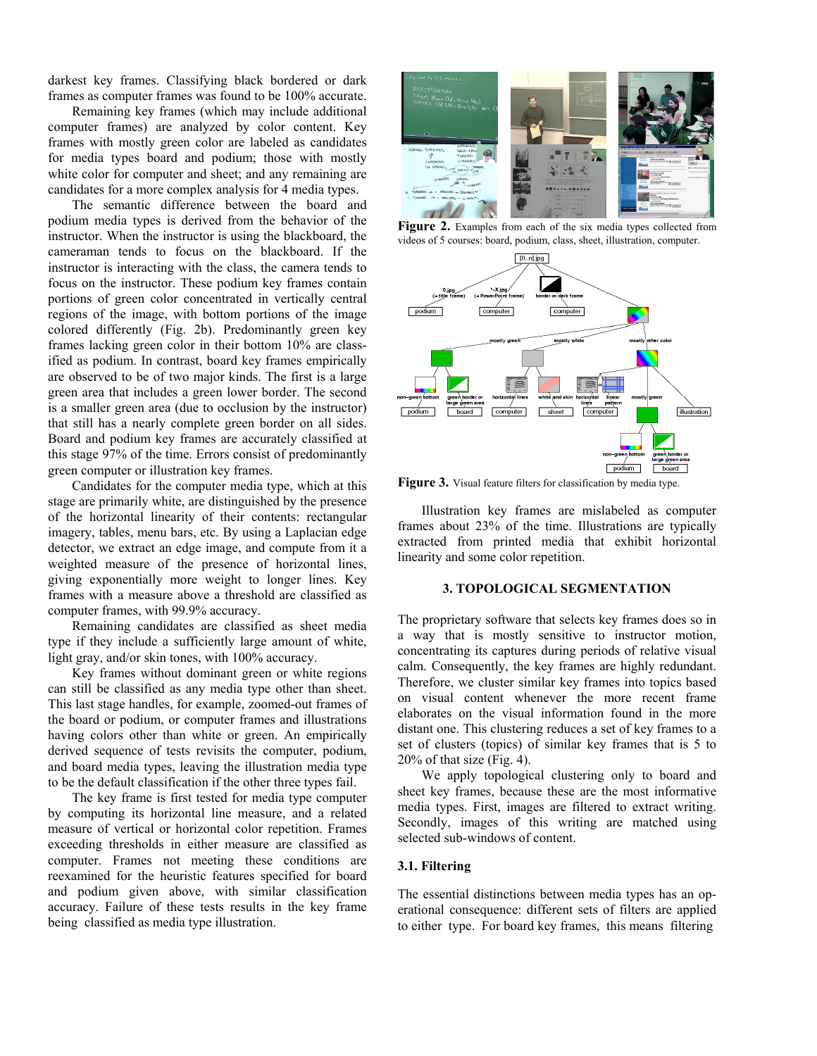darkest key frames. Classifying black bordered or dark frames as computer frames was found to be 100% accurate.

Remaining key frames (which may include additional computer frames) are analyzed by color content. Key frames with mostly green color are labeled as candidates for media types board and podium; those with mostly white color for computer and sheet; and any remaining are candidates for a more complex analysis for 4 media types.

The semantic difference between the board and podium media types is derived from the behavior of the instructor. When the instructor is using the blackboard, the cameraman tends to focus on the blackboard. If the instructor is interacting with the class, the camera tends to focus on the instructor. These podium key frames contain portions of green color concentrated in vertically central regions of the image, with bottom portions of the image colored differently (Fig. 2b). Predominantly green key frames lacking green color in their bottom 10% are classified as podium. In contrast, board key frames empirically are observed to be of two major kinds. The first is a large green area that includes a green lower border. The second is a smaller green area (due to occlusion by the instructor) that still has a nearly complete green border on all sides. Board and podium key frames are accurately classified at this stage 97% of the time. Errors consist of predominantly green computer or illustration key frames.

Candidates for the computer media type, which at this stage are primarily white, are distinguished by the presence of the horizontal linearity of their contents: rectangular imagery, tables, menu bars, etc. By using a Laplacian edge detector, we extract an edge image, and compute from it a weighted measure of the presence of horizontal lines, giving exponentially more weight to longer lines. Key frames with a measure above a threshold are classified as computer frames, with 99.9% accuracy.

Remaining candidates are classified as sheet media type if they include a sufficiently large amount of white, light gray, and/or skin tones, with 100% accuracy.

Key frames without dominant green or white regions can still be classified as any media type other than sheet. This last stage handles, for example, zoomed-out frames of the board or podium, or computer frames and illustrations having colors other than white or green. An empirically derived sequence of tests revisits the computer, podium, and board media types, leaving the illustration media type to be the default classification if the other three types fail.

The key frame is first tested for media type computer by computing its horizontal line measure, and a related measure of vertical or horizontal color repetition. Frames exceeding thresholds in either measure are classified as computer. Frames not meeting these conditions are reexamined for the heuristic features specified for board and podium given above, with similar classification accuracy. Failure of these tests results in the key frame being classified as media type illustration.



Figure 2. Examples from each of the six media types collected from videos of 5 courses: board, podium, class, sheet, illustration, computer.



**Figure 3.** Visual feature filters for classification by media type.

Illustration key frames are mislabeled as computer frames about 23% of the time. Illustrations are typically extracted from printed media that exhibit horizontal linearity and some color repetition.

# **3. TOPOLOGICAL SEGMENTATION**

The proprietary software that selects key frames does so in a way that is mostly sensitive to instructor motion, concentrating its captures during periods of relative visual calm. Consequently, the key frames are highly redundant. Therefore, we cluster similar key frames into topics based on visual content whenever the more recent frame elaborates on the visual information found in the more distant one. This clustering reduces a set of key frames to a set of clusters (topics) of similar key frames that is 5 to 20% of that size (Fig. 4).

We apply topological clustering only to board and sheet key frames, because these are the most informative media types. First, images are filtered to extract writing. Secondly, images of this writing are matched using selected sub-windows of content.

# **3.1. Filtering**

The essential distinctions between media types has an operational consequence: different sets of filters are applied to either type. For board key frames, this means filtering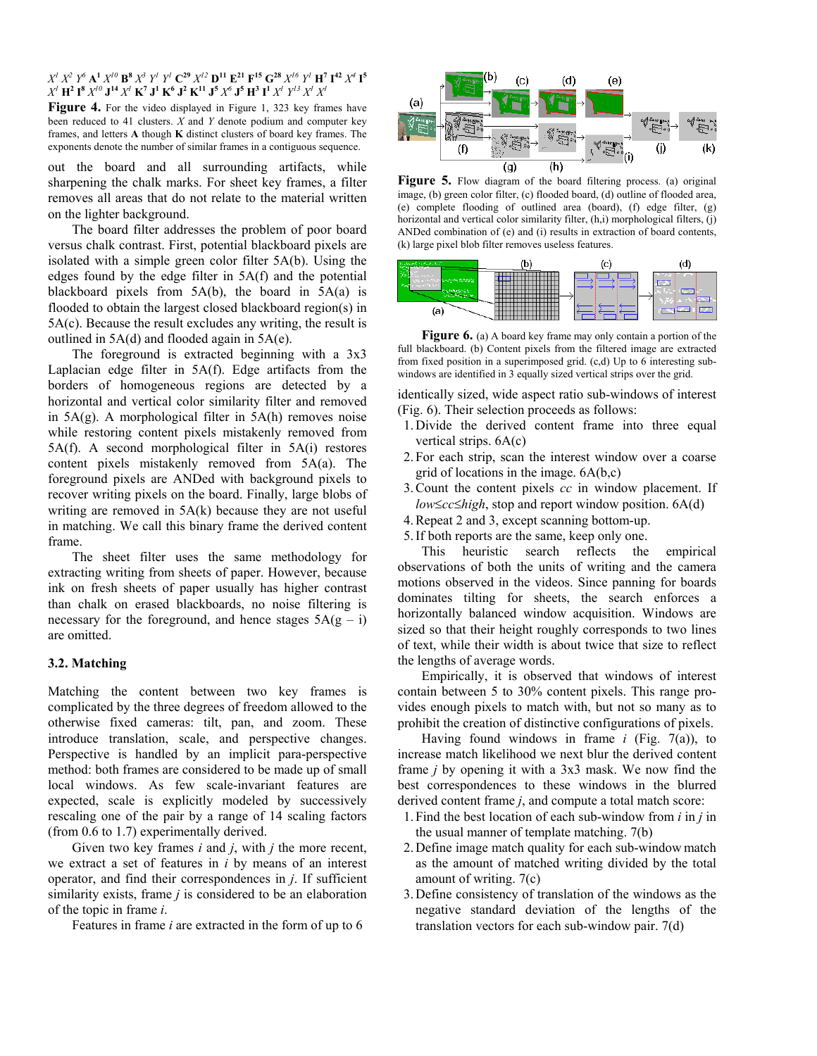$X^l$   $X^2$   $Y^6$   $\mathbf{A^1}$   $X^{l0}$   $\mathbf{B^8}$   $X^3$   $Y^l$   $Y^l$   $\mathbf{C^{29}}$   $X^{l2}$   $\mathbf{D^{11}}$   $\mathbf{E^{21}}$   $\mathbf{F^{15}}$   $\mathbf{G^{28}}$   $X^{l6}$   $Y^l$   $\mathbf{H^7}$   $\mathbf{I^{42}}$   $X^4$   $\mathbf{I^5}$  $X^l$   $\bf{H}^2$   $\bf{I}^8$   $X^{l0}$   $\bf{J}^{14}$   $X^l$   $\bf{K}^7$   $\bf{J}^1$   $\bf{K}^6$   $\bf{J}^2$   $\bf{K}^{11}$   $\bf{J}^5$   $X^6$   $\bf{J}^5$   $\bf{H}^3$   $\bf{I}^1$   $X^l$   $Y^{l3}$   $X^l$   $X^l$ 

Figure 4. For the video displayed in Figure 1, 323 key frames have been reduced to 41 clusters. *X* and *Y* denote podium and computer key frames, and letters **A** though **K** distinct clusters of board key frames. The exponents denote the number of similar frames in a contiguous sequence.

out the board and all surrounding artifacts, while sharpening the chalk marks. For sheet key frames, a filter removes all areas that do not relate to the material written on the lighter background.

The board filter addresses the problem of poor board versus chalk contrast. First, potential blackboard pixels are isolated with a simple green color filter 5A(b). Using the edges found by the edge filter in 5A(f) and the potential blackboard pixels from  $5A(b)$ , the board in  $5A(a)$  is flooded to obtain the largest closed blackboard region(s) in 5A(c). Because the result excludes any writing, the result is outlined in 5A(d) and flooded again in 5A(e).

The foreground is extracted beginning with a 3x3 Laplacian edge filter in 5A(f). Edge artifacts from the borders of homogeneous regions are detected by a horizontal and vertical color similarity filter and removed in 5A(g). A morphological filter in 5A(h) removes noise while restoring content pixels mistakenly removed from 5A(f). A second morphological filter in 5A(i) restores content pixels mistakenly removed from 5A(a). The foreground pixels are ANDed with background pixels to recover writing pixels on the board. Finally, large blobs of writing are removed in 5A(k) because they are not useful in matching. We call this binary frame the derived content frame.

The sheet filter uses the same methodology for extracting writing from sheets of paper. However, because ink on fresh sheets of paper usually has higher contrast than chalk on erased blackboards, no noise filtering is necessary for the foreground, and hence stages  $5A(g - i)$ are omitted.

#### **3.2. Matching**

Matching the content between two key frames is complicated by the three degrees of freedom allowed to the otherwise fixed cameras: tilt, pan, and zoom. These introduce translation, scale, and perspective changes. Perspective is handled by an implicit para-perspective method: both frames are considered to be made up of small local windows. As few scale-invariant features are expected, scale is explicitly modeled by successively rescaling one of the pair by a range of 14 scaling factors (from 0.6 to 1.7) experimentally derived.

Given two key frames *i* and *j*, with *j* the more recent, we extract a set of features in *i* by means of an interest operator, and find their correspondences in *j*. If sufficient similarity exists, frame *j* is considered to be an elaboration of the topic in frame *i*.

Features in frame *i* are extracted in the form of up to 6



Figure 5. Flow diagram of the board filtering process. (a) original image, (b) green color filter, (c) flooded board, (d) outline of flooded area, (e) complete flooding of outlined area (board), (f) edge filter, (g) horizontal and vertical color similarity filter, (h,i) morphological filters, (j) ANDed combination of (e) and (i) results in extraction of board contents, (k) large pixel blob filter removes useless features.



**Figure 6.** (a) A board key frame may only contain a portion of the full blackboard. (b) Content pixels from the filtered image are extracted from fixed position in a superimposed grid. (c,d) Up to 6 interesting subwindows are identified in 3 equally sized vertical strips over the grid.

identically sized, wide aspect ratio sub-windows of interest (Fig. 6). Their selection proceeds as follows:

- 1. Divide the derived content frame into three equal vertical strips. 6A(c)
- 2. For each strip, scan the interest window over a coarse grid of locations in the image. 6A(b,c)
- 3. Count the content pixels *cc* in window placement. If *low*≤*cc*≤*high*, stop and report window position. 6A(d)
- 4. Repeat 2 and 3, except scanning bottom-up.
- 5. If both reports are the same, keep only one.

This heuristic search reflects the empirical observations of both the units of writing and the camera motions observed in the videos. Since panning for boards dominates tilting for sheets, the search enforces a horizontally balanced window acquisition. Windows are sized so that their height roughly corresponds to two lines of text, while their width is about twice that size to reflect the lengths of average words.

Empirically, it is observed that windows of interest contain between 5 to 30% content pixels. This range provides enough pixels to match with, but not so many as to prohibit the creation of distinctive configurations of pixels.

Having found windows in frame *i* (Fig. 7(a)), to increase match likelihood we next blur the derived content frame *j* by opening it with a 3x3 mask. We now find the best correspondences to these windows in the blurred derived content frame *j*, and compute a total match score:

- 1. Find the best location of each sub-window from *i* in *j* in the usual manner of template matching. 7(b)
- 2. Define image match quality for each sub-window match as the amount of matched writing divided by the total amount of writing. 7(c)
- 3. Define consistency of translation of the windows as the negative standard deviation of the lengths of the translation vectors for each sub-window pair. 7(d)